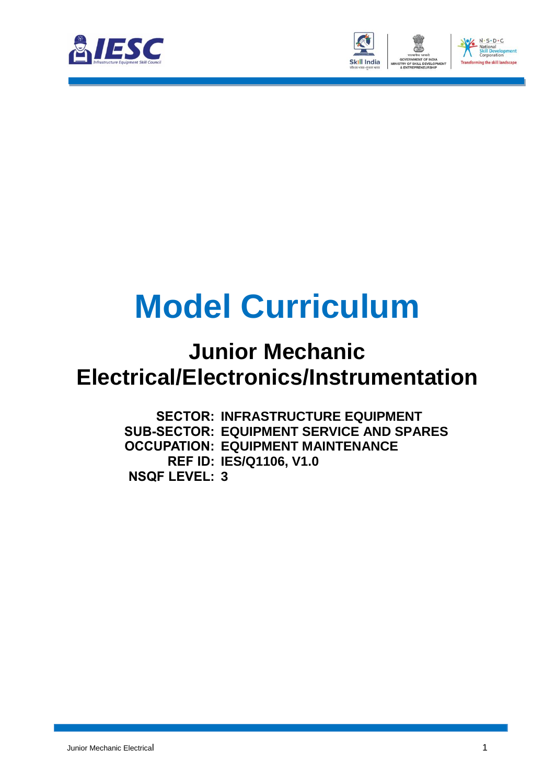



# **Model Curriculum**

### **Junior Mechanic Electrical/Electronics/Instrumentation**

**SECTOR: INFRASTRUCTURE EQUIPMENT SUB-SECTOR: EQUIPMENT SERVICE AND SPARES OCCUPATION: EQUIPMENT MAINTENANCE REF ID: IES/Q1106, V1.0 NSQF LEVEL: 3**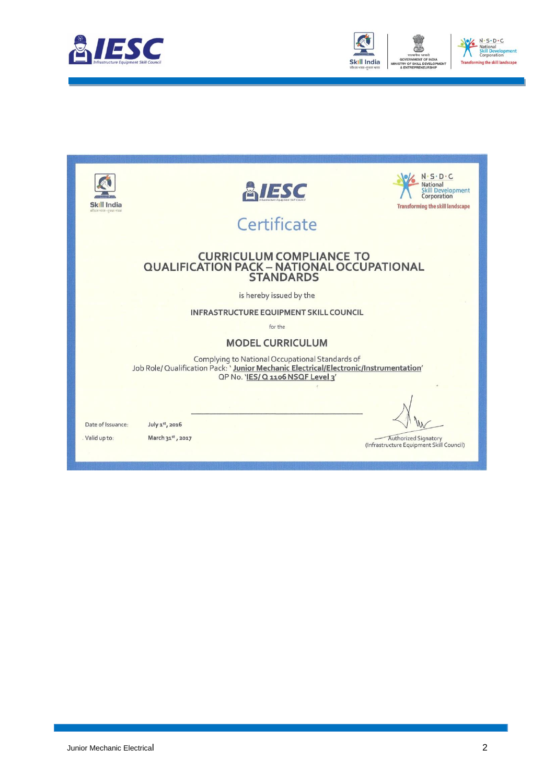



| Skill India<br>कौशल भारत-कशल भारत | ESC<br>Certificate                                                                                                                                                            | $\cdot$ S $\cdot$ D $\cdot$ C<br>lational<br><b>Skill Development</b><br>Corporation<br><b>Transforming the skill landscape</b> |  |  |
|-----------------------------------|-------------------------------------------------------------------------------------------------------------------------------------------------------------------------------|---------------------------------------------------------------------------------------------------------------------------------|--|--|
|                                   | <b>CURRICULUM COMPLIANCE TO</b><br><b>QUALIFICATION PACK - NATIONAL OCCUPATIONAL</b><br><b>STANDARDS</b>                                                                      |                                                                                                                                 |  |  |
|                                   | is hereby issued by the                                                                                                                                                       |                                                                                                                                 |  |  |
|                                   | <b>INFRASTRUCTURE EQUIPMENT SKILL COUNCIL</b>                                                                                                                                 |                                                                                                                                 |  |  |
| for the                           |                                                                                                                                                                               |                                                                                                                                 |  |  |
|                                   | <b>MODEL CURRICULUM</b>                                                                                                                                                       |                                                                                                                                 |  |  |
|                                   | Complying to National Occupational Standards of<br>Job Role/ Qualification Pack: 'Junior Mechanic Electrical/Electronic/Instrumentation'<br>QP No. 'IES/ Q 1106 NSQF Level 3' |                                                                                                                                 |  |  |
| Date of Issuance:                 | July 1st, 2016                                                                                                                                                                |                                                                                                                                 |  |  |
| . Valid up to:                    | March 31st, 2017                                                                                                                                                              | <b>Authorized Signatory</b><br>(Infrastructure Equipment Skill Council)                                                         |  |  |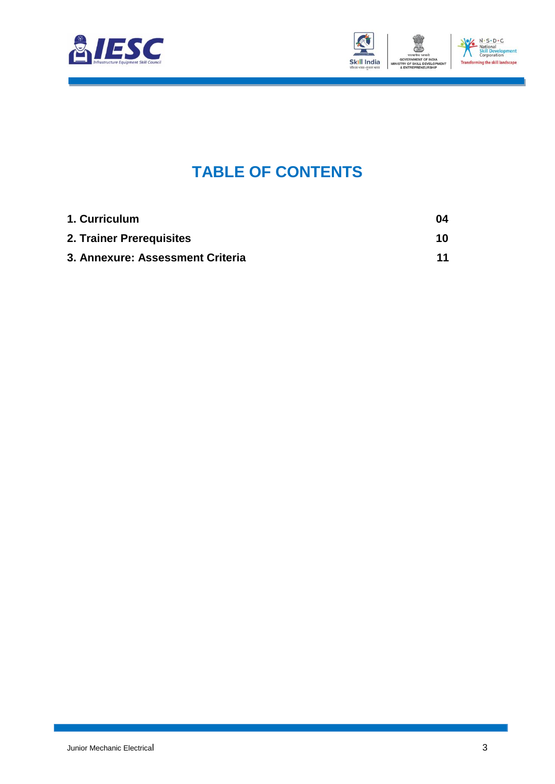



### **TABLE OF CONTENTS**

| 1. Curriculum                    | -04 |
|----------------------------------|-----|
| 2. Trainer Prerequisites         | 10  |
| 3. Annexure: Assessment Criteria | 11  |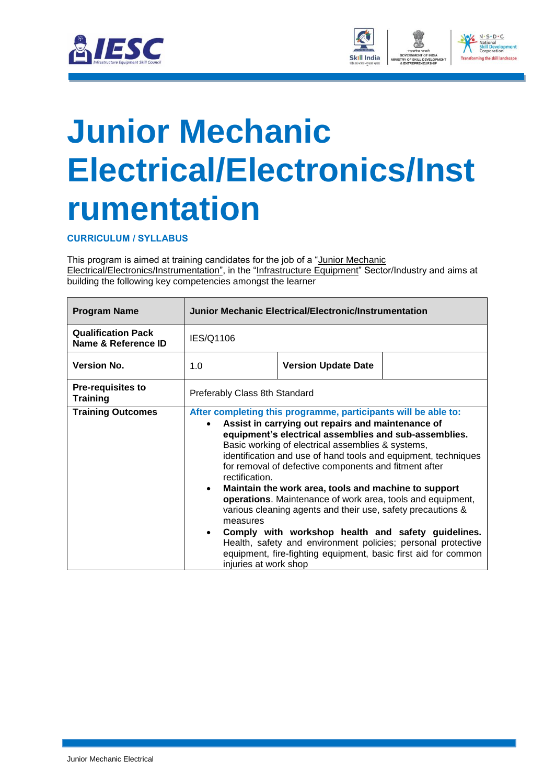



## **Junior Mechanic Electrical/Electronics/Inst rumentation**

#### **CURRICULUM / SYLLABUS**

This program is aimed at training candidates for the job of a "Junior Mechanic Electrical/Electronics/Instrumentation", in the "Infrastructure Equipment" Sector/Industry and aims at building the following key competencies amongst the learner

| <b>Program Name</b>                              | <b>Junior Mechanic Electrical/Electronic/Instrumentation</b>                                                                                                                                                                                                                                                                                                                                                                                                                                                                                                                                                                                                                                                                                                                                      |  |  |  |  |
|--------------------------------------------------|---------------------------------------------------------------------------------------------------------------------------------------------------------------------------------------------------------------------------------------------------------------------------------------------------------------------------------------------------------------------------------------------------------------------------------------------------------------------------------------------------------------------------------------------------------------------------------------------------------------------------------------------------------------------------------------------------------------------------------------------------------------------------------------------------|--|--|--|--|
| <b>Qualification Pack</b><br>Name & Reference ID | IES/Q1106                                                                                                                                                                                                                                                                                                                                                                                                                                                                                                                                                                                                                                                                                                                                                                                         |  |  |  |  |
| <b>Version No.</b>                               | <b>Version Update Date</b><br>1.0                                                                                                                                                                                                                                                                                                                                                                                                                                                                                                                                                                                                                                                                                                                                                                 |  |  |  |  |
| <b>Pre-requisites to</b><br><b>Training</b>      | Preferably Class 8th Standard                                                                                                                                                                                                                                                                                                                                                                                                                                                                                                                                                                                                                                                                                                                                                                     |  |  |  |  |
| <b>Training Outcomes</b>                         | After completing this programme, participants will be able to:<br>Assist in carrying out repairs and maintenance of<br>equipment's electrical assemblies and sub-assemblies.<br>Basic working of electrical assemblies & systems,<br>identification and use of hand tools and equipment, techniques<br>for removal of defective components and fitment after<br>rectification.<br>Maintain the work area, tools and machine to support<br>$\bullet$<br>operations. Maintenance of work area, tools and equipment,<br>various cleaning agents and their use, safety precautions &<br>measures<br>Comply with workshop health and safety guidelines.<br>$\bullet$<br>Health, safety and environment policies; personal protective<br>equipment, fire-fighting equipment, basic first aid for common |  |  |  |  |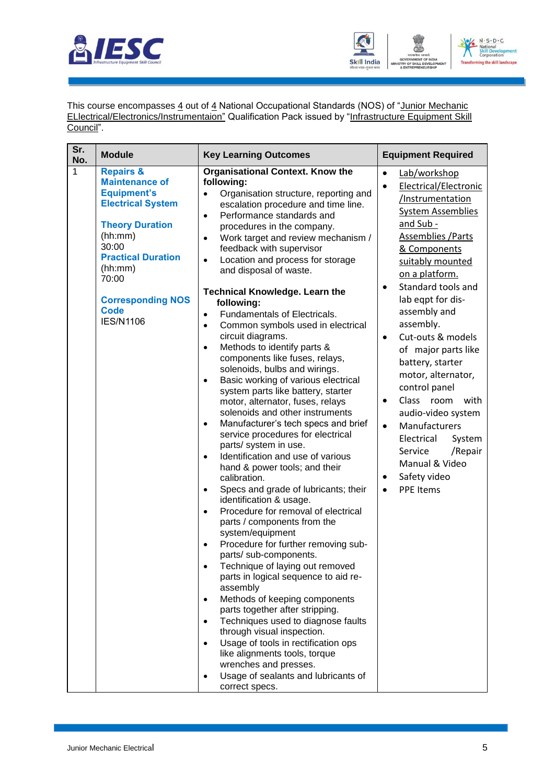



This course encompasses  $\underline{4}$  out of  $\underline{4}$  National Occupational Standards (NOS) of "Junior Mechanic ELlectrical/Electronics/Instrumentaion" Qualification Pack issued by "Infrastructure Equipment Skill <u>Council</u>".

| Sr.<br>No. | <b>Module</b>                                                                                                                                                                                                                                                 | <b>Key Learning Outcomes</b>                                                                                                                                                                                                                                                                                                                                                                                                                                                                                                                                                                                                                                                                                                                                                                                                                                                                                                                                                                                                                                                                                                                                                                                                                                                                                                                                                                                                                                                                                                                                                                                                                                                                                                                                       | <b>Equipment Required</b>                                                                                                                                                                                                                                                                                                                                                                                                                                                                                                                                                                                                        |
|------------|---------------------------------------------------------------------------------------------------------------------------------------------------------------------------------------------------------------------------------------------------------------|--------------------------------------------------------------------------------------------------------------------------------------------------------------------------------------------------------------------------------------------------------------------------------------------------------------------------------------------------------------------------------------------------------------------------------------------------------------------------------------------------------------------------------------------------------------------------------------------------------------------------------------------------------------------------------------------------------------------------------------------------------------------------------------------------------------------------------------------------------------------------------------------------------------------------------------------------------------------------------------------------------------------------------------------------------------------------------------------------------------------------------------------------------------------------------------------------------------------------------------------------------------------------------------------------------------------------------------------------------------------------------------------------------------------------------------------------------------------------------------------------------------------------------------------------------------------------------------------------------------------------------------------------------------------------------------------------------------------------------------------------------------------|----------------------------------------------------------------------------------------------------------------------------------------------------------------------------------------------------------------------------------------------------------------------------------------------------------------------------------------------------------------------------------------------------------------------------------------------------------------------------------------------------------------------------------------------------------------------------------------------------------------------------------|
| 1          | <b>Repairs &amp;</b><br><b>Maintenance of</b><br><b>Equipment's</b><br><b>Electrical System</b><br><b>Theory Duration</b><br>(hh:mm)<br>30:00<br><b>Practical Duration</b><br>(hh:mm)<br>70:00<br><b>Corresponding NOS</b><br><b>Code</b><br><b>IES/N1106</b> | Organisational Context. Know the<br>following:<br>Organisation structure, reporting and<br>escalation procedure and time line.<br>Performance standards and<br>$\bullet$<br>procedures in the company.<br>Work target and review mechanism /<br>$\bullet$<br>feedback with supervisor<br>Location and process for storage<br>$\bullet$<br>and disposal of waste.<br><b>Technical Knowledge. Learn the</b><br>following:<br>Fundamentals of Electricals.<br>$\bullet$<br>Common symbols used in electrical<br>$\bullet$<br>circuit diagrams.<br>Methods to identify parts &<br>$\bullet$<br>components like fuses, relays,<br>solenoids, bulbs and wirings.<br>Basic working of various electrical<br>$\bullet$<br>system parts like battery, starter<br>motor, alternator, fuses, relays<br>solenoids and other instruments<br>Manufacturer's tech specs and brief<br>$\bullet$<br>service procedures for electrical<br>parts/ system in use.<br>Identification and use of various<br>$\bullet$<br>hand & power tools; and their<br>calibration.<br>Specs and grade of lubricants; their<br>$\bullet$<br>identification & usage.<br>Procedure for removal of electrical<br>$\bullet$<br>parts / components from the<br>system/equipment<br>Procedure for further removing sub-<br>$\bullet$<br>parts/ sub-components.<br>Technique of laying out removed<br>parts in logical sequence to aid re-<br>assembly<br>Methods of keeping components<br>$\bullet$<br>parts together after stripping.<br>Techniques used to diagnose faults<br>$\bullet$<br>through visual inspection.<br>Usage of tools in rectification ops<br>$\bullet$<br>like alignments tools, torque<br>wrenches and presses.<br>Usage of sealants and lubricants of<br>$\bullet$<br>correct specs. | Lab/workshop<br>$\bullet$<br><b>Electrical/Electronic</b><br>$\bullet$<br>/Instrumentation<br><b>System Assemblies</b><br>and Sub -<br>Assemblies / Parts<br>& Components<br>suitably mounted<br>on a platform.<br>Standard tools and<br>$\bullet$<br>lab eqpt for dis-<br>assembly and<br>assembly.<br>Cut-outs & models<br>$\bullet$<br>of major parts like<br>battery, starter<br>motor, alternator,<br>control panel<br>Class room<br>with<br>audio-video system<br>Manufacturers<br>$\bullet$<br>Electrical<br>System<br>/Repair<br>Service<br>Manual & Video<br>Safety video<br>$\bullet$<br><b>PPE Items</b><br>$\bullet$ |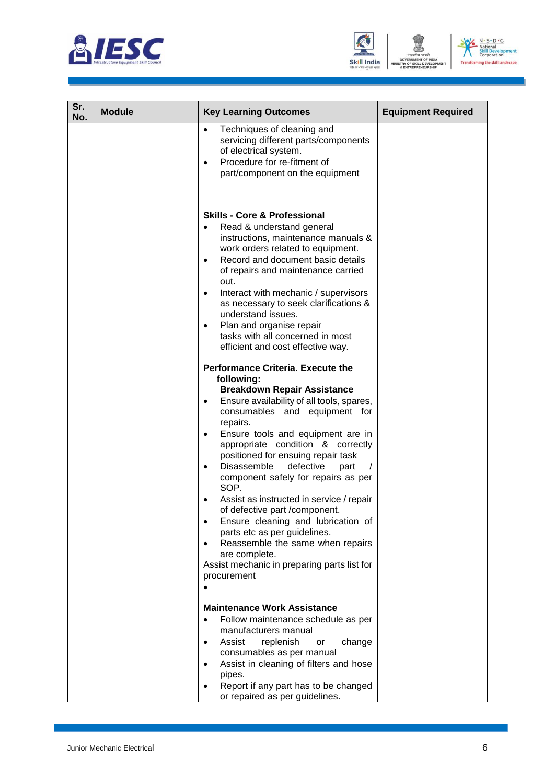





| Sr.<br>No. | <b>Module</b> | <b>Key Learning Outcomes</b>                                                                                                                                                                                                                                                                                                                                                                                                                                                                                                                                                                                                                                                                                                                                                                                                                                                                                                                                                                                                                                            | <b>Equipment Required</b> |
|------------|---------------|-------------------------------------------------------------------------------------------------------------------------------------------------------------------------------------------------------------------------------------------------------------------------------------------------------------------------------------------------------------------------------------------------------------------------------------------------------------------------------------------------------------------------------------------------------------------------------------------------------------------------------------------------------------------------------------------------------------------------------------------------------------------------------------------------------------------------------------------------------------------------------------------------------------------------------------------------------------------------------------------------------------------------------------------------------------------------|---------------------------|
|            |               | Techniques of cleaning and<br>$\bullet$<br>servicing different parts/components<br>of electrical system.<br>Procedure for re-fitment of<br>$\bullet$<br>part/component on the equipment                                                                                                                                                                                                                                                                                                                                                                                                                                                                                                                                                                                                                                                                                                                                                                                                                                                                                 |                           |
|            |               | <b>Skills - Core &amp; Professional</b><br>Read & understand general<br>instructions, maintenance manuals &<br>work orders related to equipment.<br>Record and document basic details<br>of repairs and maintenance carried<br>out.<br>Interact with mechanic / supervisors<br>$\bullet$<br>as necessary to seek clarifications &<br>understand issues.<br>Plan and organise repair<br>tasks with all concerned in most<br>efficient and cost effective way.<br><b>Performance Criteria. Execute the</b><br>following:<br><b>Breakdown Repair Assistance</b><br>Ensure availability of all tools, spares,<br>٠<br>consumables and equipment for<br>repairs.<br>Ensure tools and equipment are in<br>٠<br>appropriate condition & correctly<br>positioned for ensuing repair task<br>Disassemble<br>defective<br>part<br>$\bullet$<br>component safely for repairs as per<br>SOP.<br>Assist as instructed in service / repair<br>of defective part /component.<br>Ensure cleaning and lubrication of<br>parts etc as per guidelines.<br>Reassemble the same when repairs |                           |
|            |               | are complete.<br>Assist mechanic in preparing parts list for<br>procurement                                                                                                                                                                                                                                                                                                                                                                                                                                                                                                                                                                                                                                                                                                                                                                                                                                                                                                                                                                                             |                           |
|            |               | <b>Maintenance Work Assistance</b><br>Follow maintenance schedule as per<br>$\bullet$<br>manufacturers manual<br>Assist<br>replenish<br>change<br>or<br>$\bullet$<br>consumables as per manual<br>Assist in cleaning of filters and hose<br>$\bullet$<br>pipes.<br>Report if any part has to be changed<br>$\bullet$<br>or repaired as per guidelines.                                                                                                                                                                                                                                                                                                                                                                                                                                                                                                                                                                                                                                                                                                                  |                           |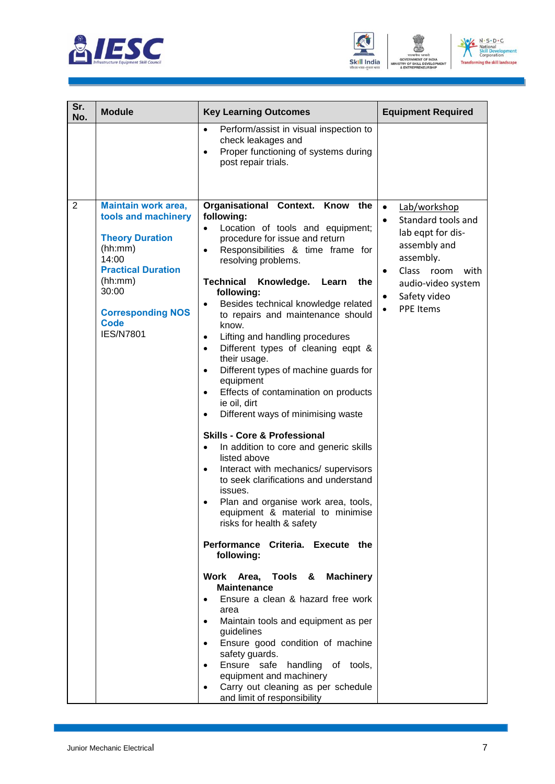





| Sr.<br>No.     | <b>Module</b>                                                                                                                                                                                                   | <b>Key Learning Outcomes</b>                                                                                                                                                                                                                                                                                                                                                                                                                                                                                                                                                                                                                                                                                                                                                                                                                                                                                                                                                                                                                                                                                                                                                                                                                                                                                                                                                                                                                                                                                                | <b>Equipment Required</b>                                                                                                                                                                                                             |
|----------------|-----------------------------------------------------------------------------------------------------------------------------------------------------------------------------------------------------------------|-----------------------------------------------------------------------------------------------------------------------------------------------------------------------------------------------------------------------------------------------------------------------------------------------------------------------------------------------------------------------------------------------------------------------------------------------------------------------------------------------------------------------------------------------------------------------------------------------------------------------------------------------------------------------------------------------------------------------------------------------------------------------------------------------------------------------------------------------------------------------------------------------------------------------------------------------------------------------------------------------------------------------------------------------------------------------------------------------------------------------------------------------------------------------------------------------------------------------------------------------------------------------------------------------------------------------------------------------------------------------------------------------------------------------------------------------------------------------------------------------------------------------------|---------------------------------------------------------------------------------------------------------------------------------------------------------------------------------------------------------------------------------------|
|                |                                                                                                                                                                                                                 | Perform/assist in visual inspection to<br>$\bullet$<br>check leakages and<br>Proper functioning of systems during<br>$\bullet$<br>post repair trials.                                                                                                                                                                                                                                                                                                                                                                                                                                                                                                                                                                                                                                                                                                                                                                                                                                                                                                                                                                                                                                                                                                                                                                                                                                                                                                                                                                       |                                                                                                                                                                                                                                       |
| $\overline{2}$ | <b>Maintain work area,</b><br>tools and machinery<br><b>Theory Duration</b><br>(hh:mm)<br>14:00<br><b>Practical Duration</b><br>(hh:mm)<br>30:00<br><b>Corresponding NOS</b><br><b>Code</b><br><b>IES/N7801</b> | <b>Organisational Context. Know</b><br>the<br>following:<br>Location of tools and equipment;<br>$\bullet$<br>procedure for issue and return<br>Responsibilities & time frame for<br>$\bullet$<br>resolving problems.<br>Technical<br>Knowledge.<br>Learn<br>the<br>following:<br>Besides technical knowledge related<br>$\bullet$<br>to repairs and maintenance should<br>know.<br>Lifting and handling procedures<br>$\bullet$<br>Different types of cleaning eqpt &<br>$\bullet$<br>their usage.<br>Different types of machine guards for<br>$\bullet$<br>equipment<br>Effects of contamination on products<br>$\bullet$<br>ie oil, dirt<br>Different ways of minimising waste<br>$\bullet$<br><b>Skills - Core &amp; Professional</b><br>In addition to core and generic skills<br>$\bullet$<br>listed above<br>Interact with mechanics/ supervisors<br>$\bullet$<br>to seek clarifications and understand<br>issues.<br>Plan and organise work area, tools,<br>$\bullet$<br>equipment & material to minimise<br>risks for health & safety<br>Performance Criteria. Execute the<br>following:<br>Work Area, Tools &<br><b>Machinery</b><br><b>Maintenance</b><br>Ensure a clean & hazard free work<br>$\bullet$<br>area<br>Maintain tools and equipment as per<br>$\bullet$<br>guidelines<br>Ensure good condition of machine<br>$\bullet$<br>safety guards.<br>Ensure safe handling of tools,<br>$\bullet$<br>equipment and machinery<br>Carry out cleaning as per schedule<br>$\bullet$<br>and limit of responsibility | Lab/workshop<br>$\bullet$<br>Standard tools and<br>$\bullet$<br>lab eqpt for dis-<br>assembly and<br>assembly.<br>Class room<br>with<br>$\bullet$<br>audio-video system<br>Safety video<br>$\bullet$<br><b>PPE Items</b><br>$\bullet$ |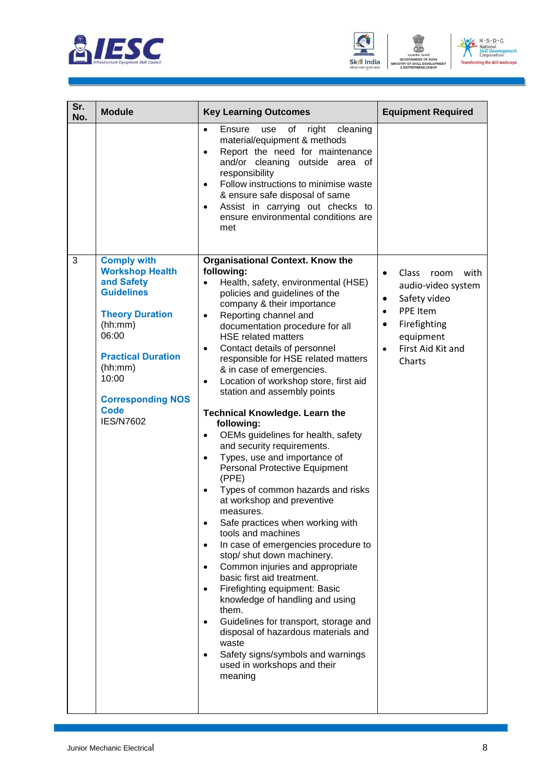





| Sr.<br>No. | <b>Module</b>                                                                                                                                                                                                                                 | <b>Key Learning Outcomes</b>                                                                                                                                                                                                                                                                                                                                                                                                                                                                                                                                                                                                                                                                                                                                                                                                                                                                                                                                                                                                                                                                                                                                                                                                                                                                                                                    | <b>Equipment Required</b>                                                                                                                                                                                   |
|------------|-----------------------------------------------------------------------------------------------------------------------------------------------------------------------------------------------------------------------------------------------|-------------------------------------------------------------------------------------------------------------------------------------------------------------------------------------------------------------------------------------------------------------------------------------------------------------------------------------------------------------------------------------------------------------------------------------------------------------------------------------------------------------------------------------------------------------------------------------------------------------------------------------------------------------------------------------------------------------------------------------------------------------------------------------------------------------------------------------------------------------------------------------------------------------------------------------------------------------------------------------------------------------------------------------------------------------------------------------------------------------------------------------------------------------------------------------------------------------------------------------------------------------------------------------------------------------------------------------------------|-------------------------------------------------------------------------------------------------------------------------------------------------------------------------------------------------------------|
|            |                                                                                                                                                                                                                                               | of<br>right<br>cleaning<br>Ensure<br>use<br>$\bullet$<br>material/equipment & methods<br>Report the need for maintenance<br>$\bullet$<br>and/or cleaning outside area of<br>responsibility<br>Follow instructions to minimise waste<br>$\bullet$<br>& ensure safe disposal of same<br>Assist in carrying out checks to<br>$\bullet$<br>ensure environmental conditions are<br>met                                                                                                                                                                                                                                                                                                                                                                                                                                                                                                                                                                                                                                                                                                                                                                                                                                                                                                                                                               |                                                                                                                                                                                                             |
| 3          | <b>Comply with</b><br><b>Workshop Health</b><br>and Safety<br><b>Guidelines</b><br><b>Theory Duration</b><br>(hh:mm)<br>06:00<br><b>Practical Duration</b><br>(hh:mm)<br>10:00<br><b>Corresponding NOS</b><br><b>Code</b><br><b>IES/N7602</b> | <b>Organisational Context. Know the</b><br>following:<br>Health, safety, environmental (HSE)<br>policies and guidelines of the<br>company & their importance<br>Reporting channel and<br>$\bullet$<br>documentation procedure for all<br><b>HSE related matters</b><br>Contact details of personnel<br>$\bullet$<br>responsible for HSE related matters<br>& in case of emergencies.<br>Location of workshop store, first aid<br>$\bullet$<br>station and assembly points<br><b>Technical Knowledge. Learn the</b><br>following:<br>OEMs guidelines for health, safety<br>$\bullet$<br>and security requirements.<br>Types, use and importance of<br>$\bullet$<br><b>Personal Protective Equipment</b><br>(PPE)<br>Types of common hazards and risks<br>$\bullet$<br>at workshop and preventive<br>measures.<br>Safe practices when working with<br>$\bullet$<br>tools and machines<br>In case of emergencies procedure to<br>$\bullet$<br>stop/ shut down machinery.<br>Common injuries and appropriate<br>$\bullet$<br>basic first aid treatment.<br>Firefighting equipment: Basic<br>$\bullet$<br>knowledge of handling and using<br>them.<br>Guidelines for transport, storage and<br>$\bullet$<br>disposal of hazardous materials and<br>waste<br>Safety signs/symbols and warnings<br>$\bullet$<br>used in workshops and their<br>meaning | <b>Class</b><br>with<br>room<br>$\bullet$<br>audio-video system<br>Safety video<br>$\bullet$<br>PPE Item<br>$\bullet$<br>Firefighting<br>$\bullet$<br>equipment<br>First Aid Kit and<br>$\bullet$<br>Charts |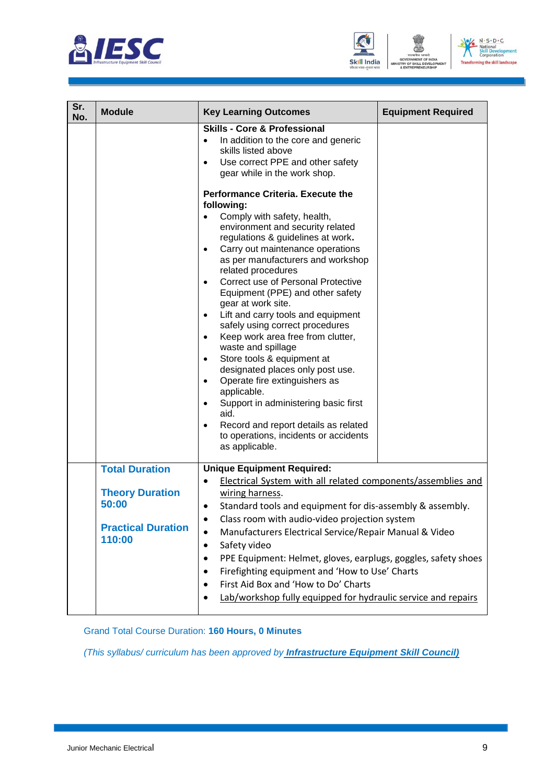





| Sr.<br>No. | <b>Module</b>                                                                                                                                                                                             | <b>Key Learning Outcomes</b>                                                                                                                                                                                                                                                                                                                                                                                                                                                                                                                                                                                           | <b>Equipment Required</b>                                     |  |  |
|------------|-----------------------------------------------------------------------------------------------------------------------------------------------------------------------------------------------------------|------------------------------------------------------------------------------------------------------------------------------------------------------------------------------------------------------------------------------------------------------------------------------------------------------------------------------------------------------------------------------------------------------------------------------------------------------------------------------------------------------------------------------------------------------------------------------------------------------------------------|---------------------------------------------------------------|--|--|
|            |                                                                                                                                                                                                           | <b>Skills - Core &amp; Professional</b>                                                                                                                                                                                                                                                                                                                                                                                                                                                                                                                                                                                |                                                               |  |  |
|            |                                                                                                                                                                                                           | In addition to the core and generic<br>$\bullet$<br>skills listed above<br>Use correct PPE and other safety<br>$\bullet$<br>gear while in the work shop.                                                                                                                                                                                                                                                                                                                                                                                                                                                               |                                                               |  |  |
|            |                                                                                                                                                                                                           | <b>Performance Criteria. Execute the</b><br>following:<br>Comply with safety, health,<br>$\bullet$<br>environment and security related<br>regulations & guidelines at work.<br>Carry out maintenance operations<br>$\bullet$<br>as per manufacturers and workshop                                                                                                                                                                                                                                                                                                                                                      |                                                               |  |  |
|            |                                                                                                                                                                                                           | related procedures<br>Correct use of Personal Protective<br>$\bullet$<br>Equipment (PPE) and other safety<br>gear at work site.<br>Lift and carry tools and equipment<br>$\bullet$<br>safely using correct procedures<br>Keep work area free from clutter,<br>$\bullet$<br>waste and spillage<br>Store tools & equipment at<br>$\bullet$<br>designated places only post use.<br>Operate fire extinguishers as<br>$\bullet$<br>applicable.<br>Support in administering basic first<br>$\bullet$<br>aid.<br>Record and report details as related<br>$\bullet$<br>to operations, incidents or accidents<br>as applicable. |                                                               |  |  |
|            |                                                                                                                                                                                                           |                                                                                                                                                                                                                                                                                                                                                                                                                                                                                                                                                                                                                        |                                                               |  |  |
|            | <b>Total Duration</b>                                                                                                                                                                                     | <b>Unique Equipment Required:</b>                                                                                                                                                                                                                                                                                                                                                                                                                                                                                                                                                                                      |                                                               |  |  |
|            | Electrical System with all related components/assemblies and<br>$\bullet$<br><b>Theory Duration</b><br>wiring harness.<br>50:00<br>Standard tools and equipment for dis-assembly & assembly.<br>$\bullet$ |                                                                                                                                                                                                                                                                                                                                                                                                                                                                                                                                                                                                                        |                                                               |  |  |
|            | <b>Practical Duration</b><br>110:00                                                                                                                                                                       | Class room with audio-video projection system<br>$\bullet$<br>Manufacturers Electrical Service/Repair Manual & Video<br>Safety video<br>$\bullet$                                                                                                                                                                                                                                                                                                                                                                                                                                                                      |                                                               |  |  |
|            |                                                                                                                                                                                                           | PPE Equipment: Helmet, gloves, earplugs, goggles, safety shoes<br>$\bullet$<br>Firefighting equipment and 'How to Use' Charts<br>$\bullet$<br>First Aid Box and 'How to Do' Charts<br>$\bullet$                                                                                                                                                                                                                                                                                                                                                                                                                        |                                                               |  |  |
|            |                                                                                                                                                                                                           |                                                                                                                                                                                                                                                                                                                                                                                                                                                                                                                                                                                                                        | Lab/workshop fully equipped for hydraulic service and repairs |  |  |

Grand Total Course Duration: **160 Hours, 0 Minutes**

*(This syllabus/ curriculum has been approved by Infrastructure Equipment Skill Council)*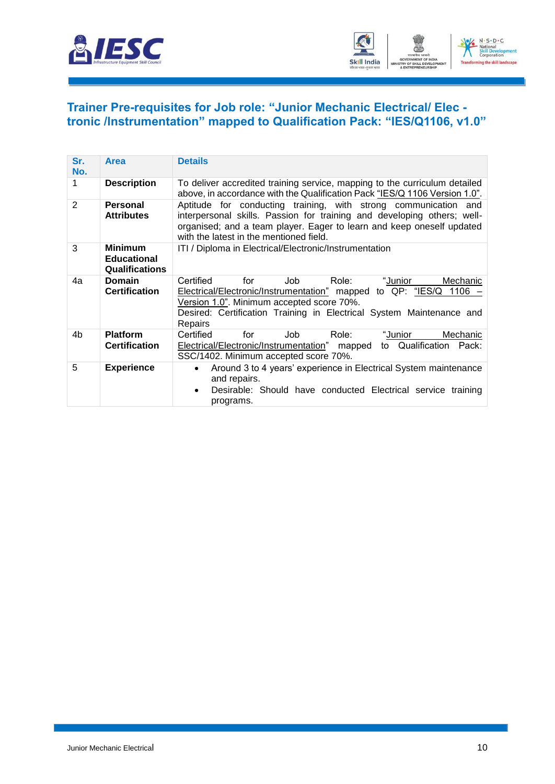



#### **Trainer Pre-requisites for Job role: "Junior Mechanic Electrical/ Elec tronic /Instrumentation" mapped to Qualification Pack: "IES/Q1106, v1.0"**

| Sr.<br>No.     | <b>Area</b>                                                   | <b>Details</b>                                                                                                                                                                                                                                                 |
|----------------|---------------------------------------------------------------|----------------------------------------------------------------------------------------------------------------------------------------------------------------------------------------------------------------------------------------------------------------|
| 1              | <b>Description</b>                                            | To deliver accredited training service, mapping to the curriculum detailed<br>above, in accordance with the Qualification Pack "IES/Q 1106 Version 1.0".                                                                                                       |
| $\overline{2}$ | <b>Personal</b><br><b>Attributes</b>                          | Aptitude for conducting training, with strong communication and<br>interpersonal skills. Passion for training and developing others; well-<br>organised; and a team player. Eager to learn and keep oneself updated<br>with the latest in the mentioned field. |
| 3              | <b>Minimum</b><br><b>Educational</b><br><b>Qualifications</b> | ITI / Diploma in Electrical/Electronic/Instrumentation                                                                                                                                                                                                         |
| 4a             | <b>Domain</b><br><b>Certification</b>                         | Certified<br>Job<br>Role:<br>for<br>"Junior<br>Mechanic<br>Electrical/Electronic/Instrumentation" mapped to QP: "IES/Q 1106 -<br>Version 1.0". Minimum accepted score 70%.<br>Desired: Certification Training in Electrical System Maintenance and<br>Repairs  |
| 4b             | <b>Platform</b><br><b>Certification</b>                       | Certified<br>for<br>Job<br>Role:<br>"Junior<br>Mechanic<br>Electrical/Electronic/Instrumentation" mapped<br>to Qualification<br>Pack:<br>SSC/1402. Minimum accepted score 70%.                                                                                 |
| 5              | <b>Experience</b>                                             | Around 3 to 4 years' experience in Electrical System maintenance<br>$\bullet$<br>and repairs.<br>Desirable: Should have conducted Electrical service training<br>$\bullet$<br>programs.                                                                        |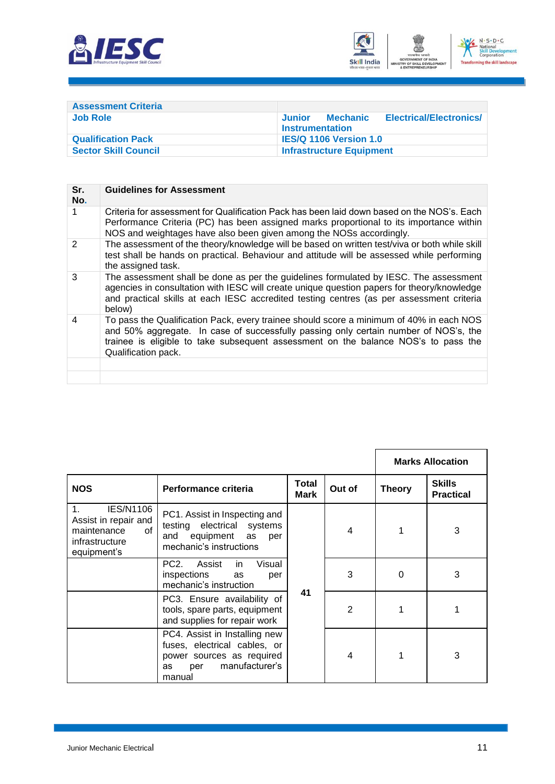



| <b>Assessment Criteria</b>  |                                                                                |  |
|-----------------------------|--------------------------------------------------------------------------------|--|
| <b>Job Role</b>             | Electrical/Electronics/<br><b>Junior</b><br>Mechanic<br><b>Instrumentation</b> |  |
| <b>Qualification Pack</b>   | <b>IES/Q 1106 Version 1.0</b>                                                  |  |
| <b>Sector Skill Council</b> | <b>Infrastructure Equipment</b>                                                |  |

| Sr.<br>No.    | <b>Guidelines for Assessment</b>                                                                                                                                                                                                                                                             |
|---------------|----------------------------------------------------------------------------------------------------------------------------------------------------------------------------------------------------------------------------------------------------------------------------------------------|
|               | Criteria for assessment for Qualification Pack has been laid down based on the NOS's. Each<br>Performance Criteria (PC) has been assigned marks proportional to its importance within<br>NOS and weightages have also been given among the NOSs accordingly.                                 |
| $\mathcal{P}$ | The assessment of the theory/knowledge will be based on written test/viva or both while skill<br>test shall be hands on practical. Behaviour and attitude will be assessed while performing<br>the assigned task.                                                                            |
| 3             | The assessment shall be done as per the guidelines formulated by IESC. The assessment<br>agencies in consultation with IESC will create unique question papers for theory/knowledge<br>and practical skills at each IESC accredited testing centres (as per assessment criteria<br>below)    |
| 4             | To pass the Qualification Pack, every trainee should score a minimum of 40% in each NOS<br>and 50% aggregate. In case of successfully passing only certain number of NOS's, the<br>trainee is eligible to take subsequent assessment on the balance NOS's to pass the<br>Qualification pack. |
|               |                                                                                                                                                                                                                                                                                              |
|               |                                                                                                                                                                                                                                                                                              |

|                                                                                                |                                                                                                                                     |               |                | <b>Marks Allocation</b> |                                   |
|------------------------------------------------------------------------------------------------|-------------------------------------------------------------------------------------------------------------------------------------|---------------|----------------|-------------------------|-----------------------------------|
| <b>NOS</b>                                                                                     | Performance criteria                                                                                                                | Total<br>Mark | Out of         | <b>Theory</b>           | <b>Skills</b><br><b>Practical</b> |
| <b>IES/N1106</b><br>Assist in repair and<br>maintenance<br>0f<br>infrastructure<br>equipment's | PC1. Assist in Inspecting and<br>testing electrical systems<br>equipment as<br>and<br>per<br>mechanic's instructions                |               | 4              |                         | 3                                 |
|                                                                                                | PC2.<br>Visual<br>Assist<br>in.<br>inspections<br>as<br>per<br>mechanic's instruction                                               |               | 3              | 0                       | 3                                 |
|                                                                                                | PC3. Ensure availability of<br>tools, spare parts, equipment<br>and supplies for repair work                                        | 41            | $\overline{2}$ |                         |                                   |
|                                                                                                | PC4. Assist in Installing new<br>fuses, electrical cables, or<br>power sources as required<br>manufacturer's<br>per<br>as<br>manual |               | 4              |                         | 3                                 |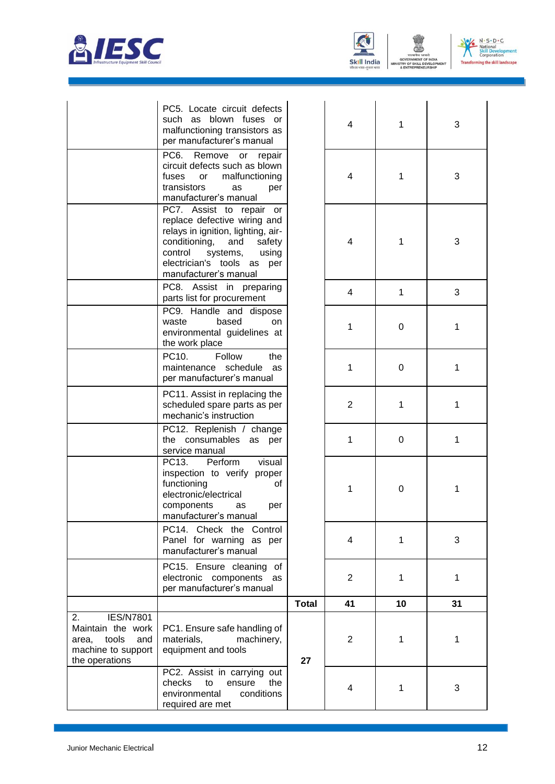



MIN

 $N \cdot S \cdot D \cdot C$ <br>
Mational<br>
Skill Development<br>
Corporation ing the skill landscape **Transf** 

|                                                                                                              | PC5. Locate circuit defects<br>such as blown fuses or<br>malfunctioning transistors as<br>per manufacturer's manual                                                                                                     |              | 4              | 1  | 3  |
|--------------------------------------------------------------------------------------------------------------|-------------------------------------------------------------------------------------------------------------------------------------------------------------------------------------------------------------------------|--------------|----------------|----|----|
|                                                                                                              | PC6.<br>Remove or<br>repair<br>circuit defects such as blown<br>fuses<br>malfunctioning<br>or<br>transistors<br>as<br>per<br>manufacturer's manual                                                                      |              | 4              | 1  | 3  |
|                                                                                                              | PC7. Assist to repair or<br>replace defective wiring and<br>relays in ignition, lighting, air-<br>conditioning,<br>and<br>safety<br>control<br>systems,<br>using<br>electrician's tools as per<br>manufacturer's manual |              | 4              | 1  | 3  |
|                                                                                                              | PC8. Assist in preparing<br>parts list for procurement                                                                                                                                                                  |              | 4              | 1  | 3  |
|                                                                                                              | PC9. Handle and dispose<br>based<br>waste<br>on<br>environmental guidelines at<br>the work place                                                                                                                        |              | 1              | 0  | 1  |
|                                                                                                              | PC10.<br>Follow<br>the<br>maintenance schedule<br>as<br>per manufacturer's manual                                                                                                                                       |              | 1              | 0  | 1  |
|                                                                                                              | PC11. Assist in replacing the<br>scheduled spare parts as per<br>mechanic's instruction                                                                                                                                 |              | $\overline{2}$ | 1  | 1  |
|                                                                                                              | PC12. Replenish / change<br>the consumables as per<br>service manual                                                                                                                                                    |              | 1              | 0  | 1  |
|                                                                                                              | PC13.<br>visual<br>Perform<br>inspection to verify proper<br>functioning<br>οf<br>electronic/electrical<br>components<br>as<br>per<br>manufacturer's manual                                                             |              | 1              | 0  | 1  |
|                                                                                                              | PC14. Check the Control<br>Panel for warning as per<br>manufacturer's manual                                                                                                                                            |              | 4              | 1  | 3  |
|                                                                                                              | PC15. Ensure cleaning of<br>electronic components as<br>per manufacturer's manual                                                                                                                                       |              | $\overline{2}$ | 1  | 1  |
|                                                                                                              |                                                                                                                                                                                                                         | <b>Total</b> | 41             | 10 | 31 |
| <b>IES/N7801</b><br>2.<br>Maintain the work<br>tools<br>and<br>area,<br>machine to support<br>the operations | PC1. Ensure safe handling of<br>materials,<br>machinery,<br>equipment and tools                                                                                                                                         | 27           | $\overline{2}$ | 1  | 1  |
|                                                                                                              | PC2. Assist in carrying out<br>checks<br>the<br>to<br>ensure<br>environmental<br>conditions<br>required are met                                                                                                         |              | 4              | 1  | 3  |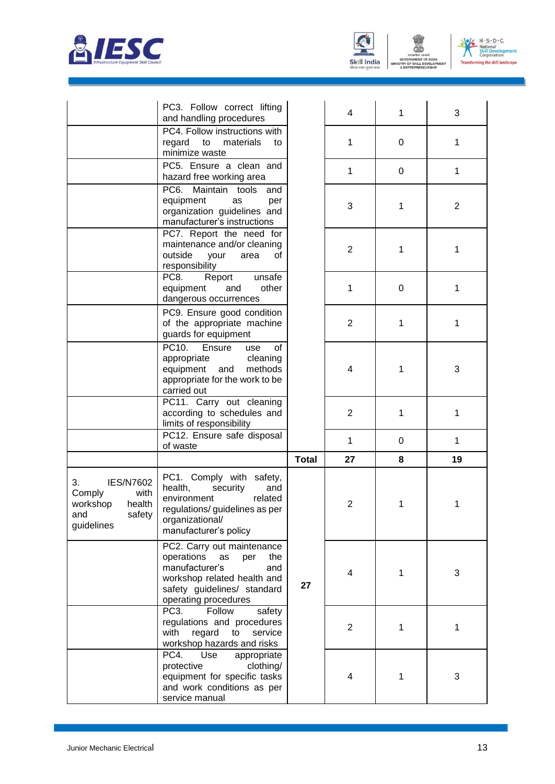



MIN

 $N \cdot S \cdot D \cdot C$ <br>
Mational<br>
Skill Development<br>
Corporation **Transf** ing the skill landscape

|                                                                                               | PC3. Follow correct lifting<br>and handling procedures                                                                                                                      |              | 4              | 1           | 3              |
|-----------------------------------------------------------------------------------------------|-----------------------------------------------------------------------------------------------------------------------------------------------------------------------------|--------------|----------------|-------------|----------------|
|                                                                                               | PC4. Follow instructions with<br>materials<br>regard<br>to<br>to<br>minimize waste                                                                                          |              | 1              | 0           | 1              |
|                                                                                               | PC5. Ensure a clean and<br>hazard free working area                                                                                                                         |              | $\mathbf{1}$   | 0           | 1              |
|                                                                                               | PC6.<br>Maintain tools<br>and<br>equipment<br>as<br>per<br>organization guidelines and<br>manufacturer's instructions                                                       |              | 3              | 1           | $\overline{2}$ |
|                                                                                               | PC7. Report the need for<br>maintenance and/or cleaning<br>outside<br>your<br>0f<br>area<br>responsibility                                                                  |              | $\overline{2}$ | 1           | 1              |
|                                                                                               | PC8.<br>unsafe<br>Report<br>other<br>equipment<br>and<br>dangerous occurrences                                                                                              |              | 1              | 0           | 1              |
|                                                                                               | PC9. Ensure good condition<br>of the appropriate machine<br>guards for equipment                                                                                            |              | $\overline{2}$ | 1           | 1              |
|                                                                                               | PC10.<br>of<br>Ensure<br>use<br>appropriate<br>cleaning<br>equipment and<br>methods<br>appropriate for the work to be<br>carried out                                        |              | 4              | 1           | 3              |
|                                                                                               | PC11. Carry out cleaning<br>according to schedules and<br>limits of responsibility                                                                                          |              | $\overline{2}$ | 1           | 1              |
|                                                                                               | PC12. Ensure safe disposal<br>of waste                                                                                                                                      |              | $\mathbf{1}$   | $\mathbf 0$ | 1              |
|                                                                                               |                                                                                                                                                                             | <b>Total</b> | 27             | 8           | 19             |
| <b>IES/N7602</b><br>3.<br>Comply<br>with<br>workshop<br>health<br>safety<br>and<br>guidelines | PC1. Comply with safety,<br>health,<br>security<br>and<br>environment<br>related<br>regulations/ guidelines as per<br>organizational/<br>manufacturer's policy              |              | 2              | 1           | 1              |
|                                                                                               | PC2. Carry out maintenance<br>operations<br>as<br>the<br>per<br>manufacturer's<br>and<br>workshop related health and<br>safety guidelines/ standard<br>operating procedures | 27           | 4              | 1           | 3              |
|                                                                                               | PC <sub>3</sub> .<br>Follow<br>safety<br>regulations and procedures<br>with<br>regard<br>service<br>to<br>workshop hazards and risks                                        |              | $\overline{2}$ | 1           | 1              |
|                                                                                               | PC4.<br>Use<br>appropriate<br>protective<br>clothing/<br>equipment for specific tasks<br>and work conditions as per<br>service manual                                       |              | 4              | 1           | 3              |